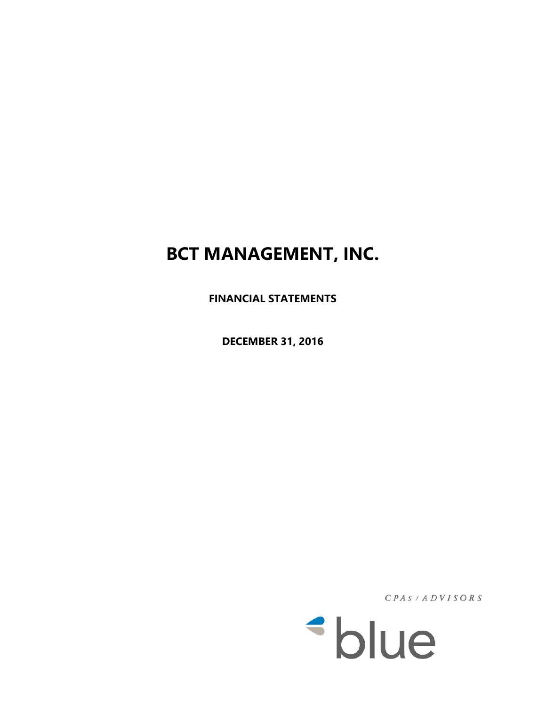**FINANCIAL STATEMENTS** 

**DECEMBER 31, 2016**

 $CPAS / ADYISORS$ 

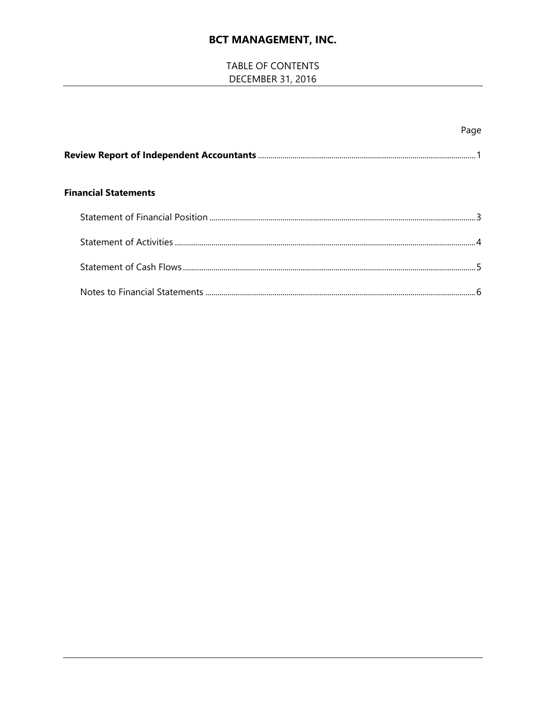# TABLE OF CONTENTS **DECEMBER 31, 2016**

|                             | Page |
|-----------------------------|------|
|                             |      |
| <b>Financial Statements</b> |      |
|                             |      |
|                             |      |
|                             |      |
|                             |      |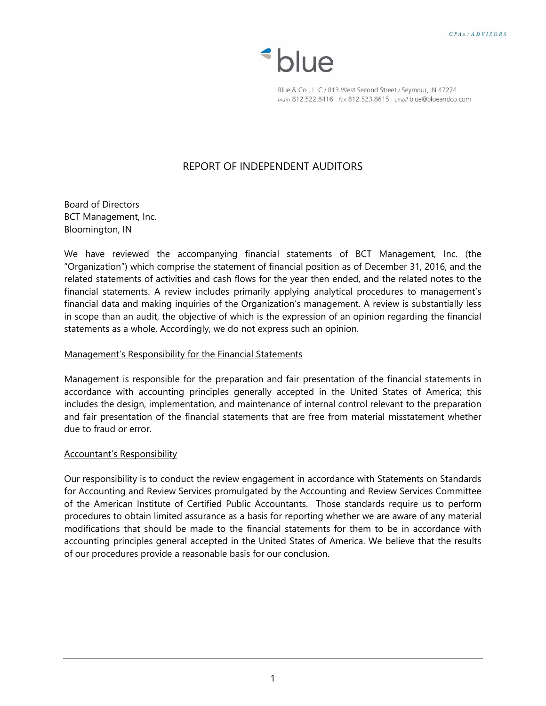*\*blue* 

Blue & Co., LLC / 813 West Second Street / Seymour, IN 47274 main 812.522.8416 fax 812.523.8615 email blue@blueandco.com

# REPORT OF INDEPENDENT AUDITORS

Board of Directors BCT Management, Inc. Bloomington, IN

We have reviewed the accompanying financial statements of BCT Management, Inc. (the "Organization") which comprise the statement of financial position as of December 31, 2016, and the related statements of activities and cash flows for the year then ended, and the related notes to the financial statements. A review includes primarily applying analytical procedures to management's financial data and making inquiries of the Organization's management. A review is substantially less in scope than an audit, the objective of which is the expression of an opinion regarding the financial statements as a whole. Accordingly, we do not express such an opinion.

#### Management's Responsibility for the Financial Statements

Management is responsible for the preparation and fair presentation of the financial statements in accordance with accounting principles generally accepted in the United States of America; this includes the design, implementation, and maintenance of internal control relevant to the preparation and fair presentation of the financial statements that are free from material misstatement whether due to fraud or error.

#### Accountant's Responsibility

Our responsibility is to conduct the review engagement in accordance with Statements on Standards for Accounting and Review Services promulgated by the Accounting and Review Services Committee of the American Institute of Certified Public Accountants. Those standards require us to perform procedures to obtain limited assurance as a basis for reporting whether we are aware of any material modifications that should be made to the financial statements for them to be in accordance with accounting principles general accepted in the United States of America. We believe that the results of our procedures provide a reasonable basis for our conclusion.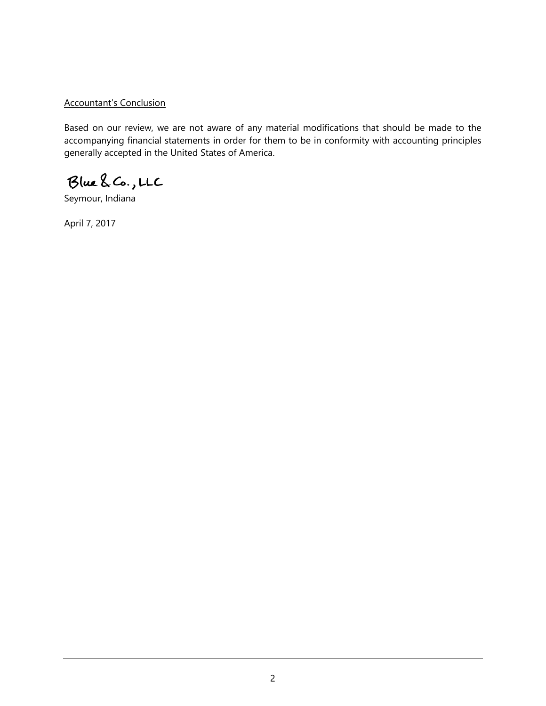### Accountant's Conclusion

Based on our review, we are not aware of any material modifications that should be made to the accompanying financial statements in order for them to be in conformity with accounting principles generally accepted in the United States of America.

Blue & Co., LLC

Seymour, Indiana

April 7, 2017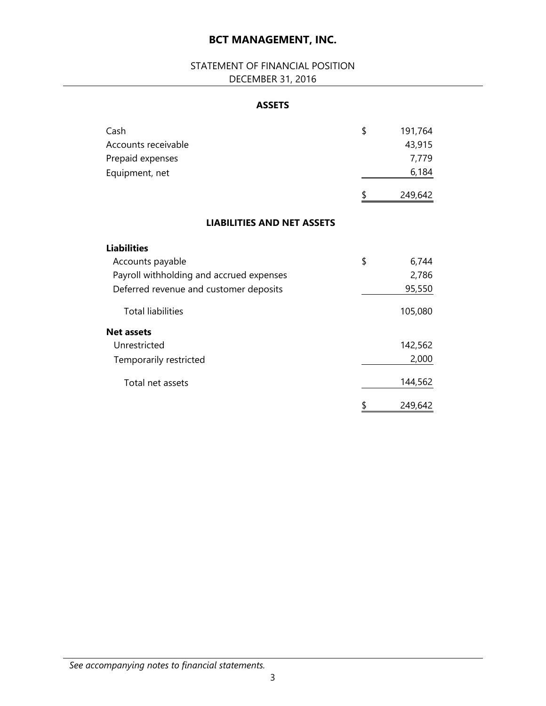# STATEMENT OF FINANCIAL POSITION DECEMBER 31, 2016

## **ASSETS**

| Cash                                     | \$<br>191,764 |
|------------------------------------------|---------------|
| Accounts receivable                      | 43,915        |
| Prepaid expenses                         | 7,779         |
| Equipment, net                           | 6,184         |
|                                          | \$<br>249,642 |
| <b>LIABILITIES AND NET ASSETS</b>        |               |
| <b>Liabilities</b>                       |               |
| Accounts payable                         | \$<br>6,744   |
| Payroll withholding and accrued expenses | 2,786         |
| Deferred revenue and customer deposits   | 95,550        |
| <b>Total liabilities</b>                 | 105,080       |
| <b>Net assets</b>                        |               |
| Unrestricted                             | 142,562       |
| Temporarily restricted                   | 2,000         |
| Total net assets                         | 144,562       |
|                                          | \$<br>249,642 |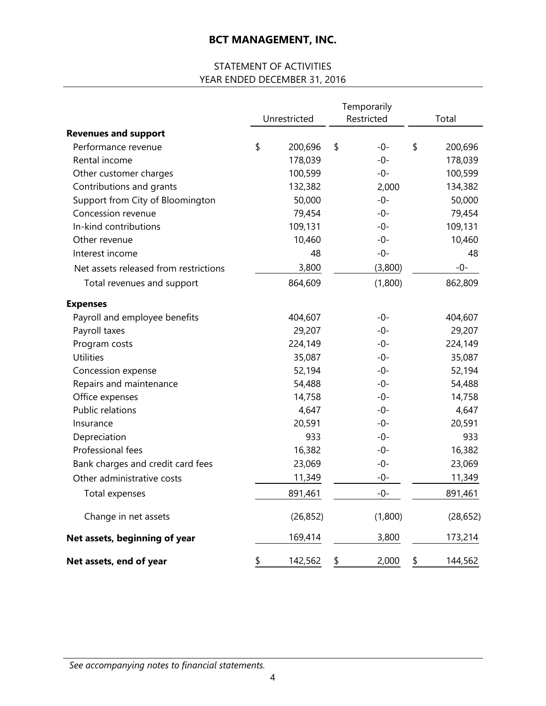# STATEMENT OF ACTIVITIES YEAR ENDED DECEMBER 31, 2016

|                                       | Unrestricted  | Temporarily<br>Restricted | Total         |
|---------------------------------------|---------------|---------------------------|---------------|
| <b>Revenues and support</b>           |               |                           |               |
| Performance revenue                   | \$<br>200,696 | \$<br>$-0-$               | \$<br>200,696 |
| Rental income                         | 178,039       | $-0-$                     | 178,039       |
| Other customer charges                | 100,599       | $-0-$                     | 100,599       |
| Contributions and grants              | 132,382       | 2,000                     | 134,382       |
| Support from City of Bloomington      | 50,000        | $-0-$                     | 50,000        |
| Concession revenue                    | 79,454        | $-0-$                     | 79,454        |
| In-kind contributions                 | 109,131       | $-0-$                     | 109,131       |
| Other revenue                         | 10,460        | $-0-$                     | 10,460        |
| Interest income                       | 48            | $-0-$                     | 48            |
| Net assets released from restrictions | 3,800         | (3,800)                   | $-0-$         |
| Total revenues and support            | 864,609       | (1,800)                   | 862,809       |
| <b>Expenses</b>                       |               |                           |               |
| Payroll and employee benefits         | 404,607       | $-0-$                     | 404,607       |
| Payroll taxes                         | 29,207        | $-0-$                     | 29,207        |
| Program costs                         | 224,149       | $-0-$                     | 224,149       |
| <b>Utilities</b>                      | 35,087        | $-0-$                     | 35,087        |
| Concession expense                    | 52,194        | $-0-$                     | 52,194        |
| Repairs and maintenance               | 54,488        | $-0-$                     | 54,488        |
| Office expenses                       | 14,758        | -0-                       | 14,758        |
| Public relations                      | 4,647         | $-0-$                     | 4,647         |
| Insurance                             | 20,591        | -0-                       | 20,591        |
| Depreciation                          | 933           | $-0-$                     | 933           |
| Professional fees                     | 16,382        | $-0-$                     | 16,382        |
| Bank charges and credit card fees     | 23,069        | -0-                       | 23,069        |
| Other administrative costs            | 11,349        | $-0-$                     | 11,349        |
| Total expenses                        | 891,461       | $-0-$                     | 891,461       |
| Change in net assets                  | (26, 852)     | (1,800)                   | (28, 652)     |
| Net assets, beginning of year         | 169,414       | 3,800                     | 173,214       |
| Net assets, end of year               | \$<br>142,562 | \$<br>2,000               | \$<br>144,562 |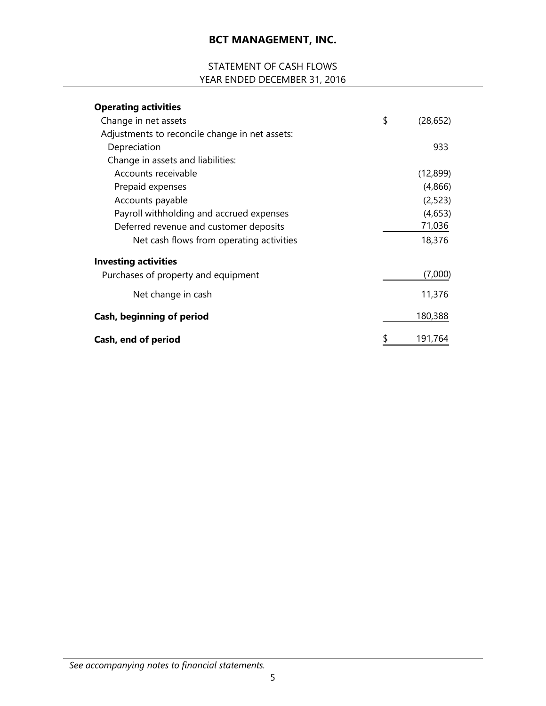# STATEMENT OF CASH FLOWS YEAR ENDED DECEMBER 31, 2016

| <b>Operating activities</b>                    |                 |
|------------------------------------------------|-----------------|
| Change in net assets                           | \$<br>(28, 652) |
| Adjustments to reconcile change in net assets: |                 |
| Depreciation                                   | 933             |
| Change in assets and liabilities:              |                 |
| Accounts receivable                            | (12,899)        |
| Prepaid expenses                               | (4,866)         |
| Accounts payable                               | (2,523)         |
| Payroll withholding and accrued expenses       | (4,653)         |
| Deferred revenue and customer deposits         | 71,036          |
| Net cash flows from operating activities       | 18,376          |
| <b>Investing activities</b>                    |                 |
| Purchases of property and equipment            | (7,000)         |
| Net change in cash                             | 11,376          |
| Cash, beginning of period                      | 180,388         |
| Cash, end of period                            | 191,764         |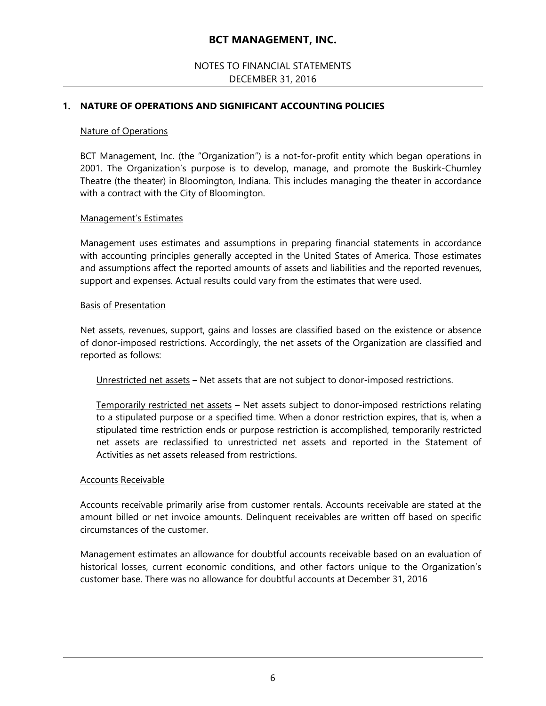### NOTES TO FINANCIAL STATEMENTS DECEMBER 31, 2016

#### **1. NATURE OF OPERATIONS AND SIGNIFICANT ACCOUNTING POLICIES**

#### Nature of Operations

BCT Management, Inc. (the "Organization") is a not-for-profit entity which began operations in 2001. The Organization's purpose is to develop, manage, and promote the Buskirk-Chumley Theatre (the theater) in Bloomington, Indiana. This includes managing the theater in accordance with a contract with the City of Bloomington.

#### Management's Estimates

Management uses estimates and assumptions in preparing financial statements in accordance with accounting principles generally accepted in the United States of America. Those estimates and assumptions affect the reported amounts of assets and liabilities and the reported revenues, support and expenses. Actual results could vary from the estimates that were used.

#### Basis of Presentation

Net assets, revenues, support, gains and losses are classified based on the existence or absence of donor-imposed restrictions. Accordingly, the net assets of the Organization are classified and reported as follows:

Unrestricted net assets – Net assets that are not subject to donor-imposed restrictions.

Temporarily restricted net assets – Net assets subject to donor-imposed restrictions relating to a stipulated purpose or a specified time. When a donor restriction expires, that is, when a stipulated time restriction ends or purpose restriction is accomplished, temporarily restricted net assets are reclassified to unrestricted net assets and reported in the Statement of Activities as net assets released from restrictions.

#### Accounts Receivable

Accounts receivable primarily arise from customer rentals. Accounts receivable are stated at the amount billed or net invoice amounts. Delinquent receivables are written off based on specific circumstances of the customer.

Management estimates an allowance for doubtful accounts receivable based on an evaluation of historical losses, current economic conditions, and other factors unique to the Organization's customer base. There was no allowance for doubtful accounts at December 31, 2016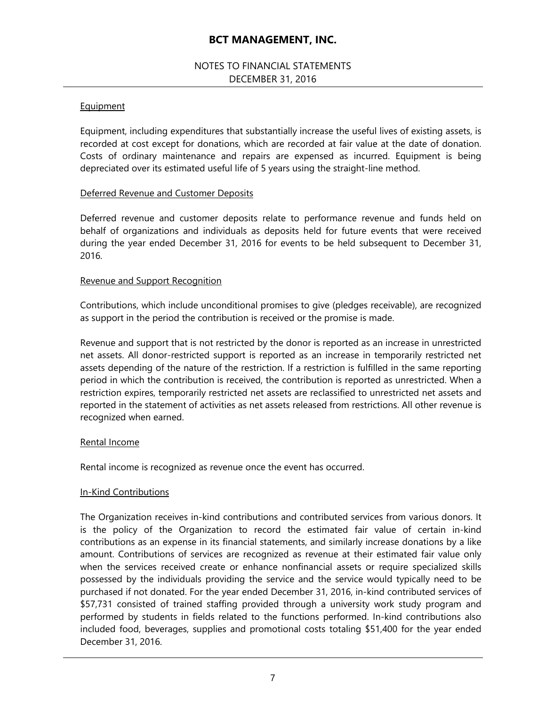### NOTES TO FINANCIAL STATEMENTS DECEMBER 31, 2016

#### **Equipment**

Equipment, including expenditures that substantially increase the useful lives of existing assets, is recorded at cost except for donations, which are recorded at fair value at the date of donation. Costs of ordinary maintenance and repairs are expensed as incurred. Equipment is being depreciated over its estimated useful life of 5 years using the straight-line method.

#### Deferred Revenue and Customer Deposits

Deferred revenue and customer deposits relate to performance revenue and funds held on behalf of organizations and individuals as deposits held for future events that were received during the year ended December 31, 2016 for events to be held subsequent to December 31, 2016.

#### Revenue and Support Recognition

Contributions, which include unconditional promises to give (pledges receivable), are recognized as support in the period the contribution is received or the promise is made.

Revenue and support that is not restricted by the donor is reported as an increase in unrestricted net assets. All donor-restricted support is reported as an increase in temporarily restricted net assets depending of the nature of the restriction. If a restriction is fulfilled in the same reporting period in which the contribution is received, the contribution is reported as unrestricted. When a restriction expires, temporarily restricted net assets are reclassified to unrestricted net assets and reported in the statement of activities as net assets released from restrictions. All other revenue is recognized when earned.

#### Rental Income

Rental income is recognized as revenue once the event has occurred.

#### In-Kind Contributions

The Organization receives in-kind contributions and contributed services from various donors. It is the policy of the Organization to record the estimated fair value of certain in-kind contributions as an expense in its financial statements, and similarly increase donations by a like amount. Contributions of services are recognized as revenue at their estimated fair value only when the services received create or enhance nonfinancial assets or require specialized skills possessed by the individuals providing the service and the service would typically need to be purchased if not donated. For the year ended December 31, 2016, in-kind contributed services of \$57,731 consisted of trained staffing provided through a university work study program and performed by students in fields related to the functions performed. In-kind contributions also included food, beverages, supplies and promotional costs totaling \$51,400 for the year ended December 31, 2016.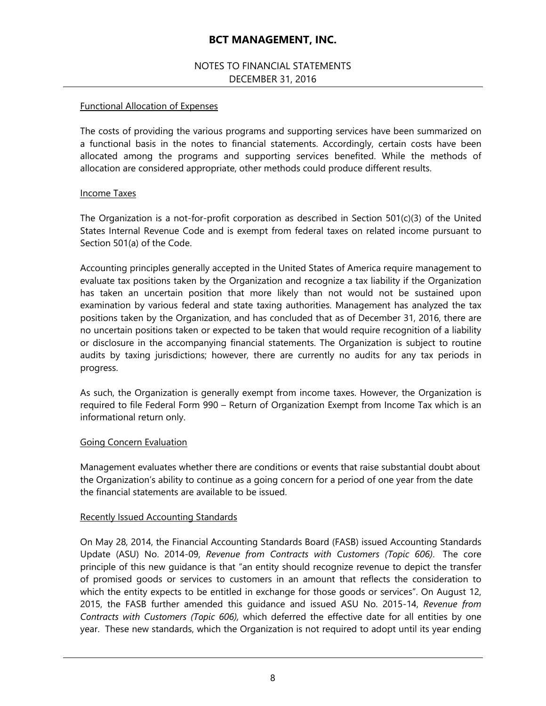### NOTES TO FINANCIAL STATEMENTS DECEMBER 31, 2016

#### Functional Allocation of Expenses

The costs of providing the various programs and supporting services have been summarized on a functional basis in the notes to financial statements. Accordingly, certain costs have been allocated among the programs and supporting services benefited. While the methods of allocation are considered appropriate, other methods could produce different results.

#### Income Taxes

The Organization is a not-for-profit corporation as described in Section 501(c)(3) of the United States Internal Revenue Code and is exempt from federal taxes on related income pursuant to Section 501(a) of the Code.

Accounting principles generally accepted in the United States of America require management to evaluate tax positions taken by the Organization and recognize a tax liability if the Organization has taken an uncertain position that more likely than not would not be sustained upon examination by various federal and state taxing authorities. Management has analyzed the tax positions taken by the Organization, and has concluded that as of December 31, 2016, there are no uncertain positions taken or expected to be taken that would require recognition of a liability or disclosure in the accompanying financial statements. The Organization is subject to routine audits by taxing jurisdictions; however, there are currently no audits for any tax periods in progress.

As such, the Organization is generally exempt from income taxes. However, the Organization is required to file Federal Form 990 – Return of Organization Exempt from Income Tax which is an informational return only.

#### Going Concern Evaluation

Management evaluates whether there are conditions or events that raise substantial doubt about the Organization's ability to continue as a going concern for a period of one year from the date the financial statements are available to be issued.

#### Recently Issued Accounting Standards

On May 28, 2014, the Financial Accounting Standards Board (FASB) issued Accounting Standards Update (ASU) No. 2014-09, *Revenue from Contracts with Customers (Topic 606)*. The core principle of this new guidance is that "an entity should recognize revenue to depict the transfer of promised goods or services to customers in an amount that reflects the consideration to which the entity expects to be entitled in exchange for those goods or services". On August 12, 2015, the FASB further amended this guidance and issued ASU No. 2015-14, *Revenue from Contracts with Customers (Topic 606),* which deferred the effective date for all entities by one year. These new standards, which the Organization is not required to adopt until its year ending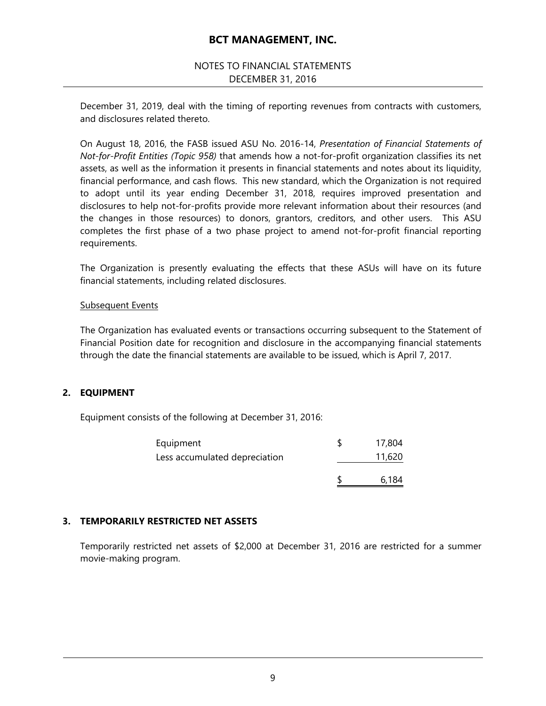### NOTES TO FINANCIAL STATEMENTS DECEMBER 31, 2016

December 31, 2019, deal with the timing of reporting revenues from contracts with customers, and disclosures related thereto.

On August 18, 2016, the FASB issued ASU No. 2016-14, *Presentation of Financial Statements of Not-for-Profit Entities (Topic 958)* that amends how a not-for-profit organization classifies its net assets, as well as the information it presents in financial statements and notes about its liquidity, financial performance, and cash flows. This new standard, which the Organization is not required to adopt until its year ending December 31, 2018, requires improved presentation and disclosures to help not-for-profits provide more relevant information about their resources (and the changes in those resources) to donors, grantors, creditors, and other users. This ASU completes the first phase of a two phase project to amend not-for-profit financial reporting requirements.

The Organization is presently evaluating the effects that these ASUs will have on its future financial statements, including related disclosures.

#### Subsequent Events

The Organization has evaluated events or transactions occurring subsequent to the Statement of Financial Position date for recognition and disclosure in the accompanying financial statements through the date the financial statements are available to be issued, which is April 7, 2017.

#### **2. EQUIPMENT**

Equipment consists of the following at December 31, 2016:

| Equipment                     | 17,804 |
|-------------------------------|--------|
| Less accumulated depreciation | 11,620 |
|                               | 6.184  |

#### **3. TEMPORARILY RESTRICTED NET ASSETS**

Temporarily restricted net assets of \$2,000 at December 31, 2016 are restricted for a summer movie-making program.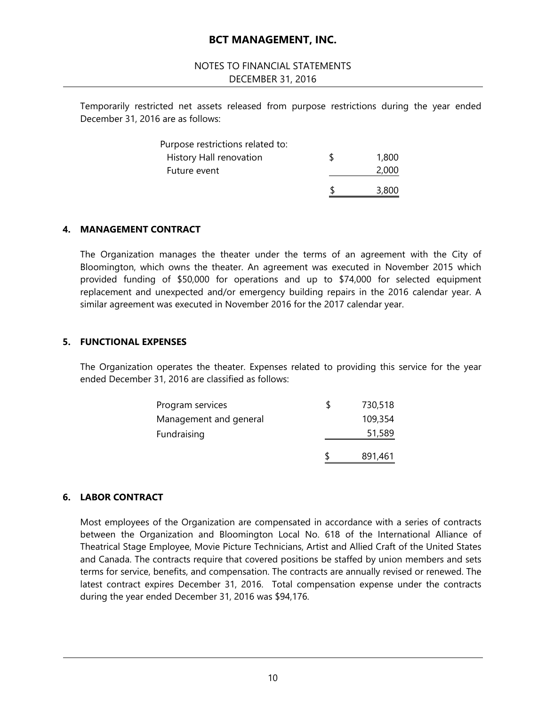#### NOTES TO FINANCIAL STATEMENTS DECEMBER 31, 2016

Temporarily restricted net assets released from purpose restrictions during the year ended December 31, 2016 are as follows:

| History Hall renovation<br>Future event | 1,800<br>2,000 |
|-----------------------------------------|----------------|
|                                         | 3,800          |

#### **4. MANAGEMENT CONTRACT**

The Organization manages the theater under the terms of an agreement with the City of Bloomington, which owns the theater. An agreement was executed in November 2015 which provided funding of \$50,000 for operations and up to \$74,000 for selected equipment replacement and unexpected and/or emergency building repairs in the 2016 calendar year. A similar agreement was executed in November 2016 for the 2017 calendar year.

#### **5. FUNCTIONAL EXPENSES**

The Organization operates the theater. Expenses related to providing this service for the year ended December 31, 2016 are classified as follows:

|                        | 891,461 |
|------------------------|---------|
| Fundraising            | 51,589  |
| Management and general | 109,354 |
| Program services       | 730,518 |

#### **6. LABOR CONTRACT**

Most employees of the Organization are compensated in accordance with a series of contracts between the Organization and Bloomington Local No. 618 of the International Alliance of Theatrical Stage Employee, Movie Picture Technicians, Artist and Allied Craft of the United States and Canada. The contracts require that covered positions be staffed by union members and sets terms for service, benefits, and compensation. The contracts are annually revised or renewed. The latest contract expires December 31, 2016. Total compensation expense under the contracts during the year ended December 31, 2016 was \$94,176.